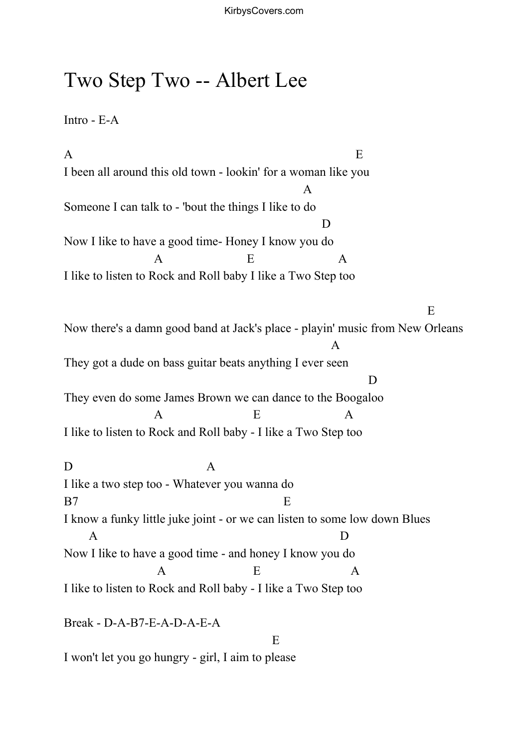## Two Step Two -- Albert Lee

Intro - E-A

 $\mathbf A$  E I been all around this old town - lookin' for a woman like you A Someone I can talk to - 'bout the things I like to do D Now I like to have a good time- Honey I know you do  $A$  E  $A$ I like to listen to Rock and Roll baby I like a Two Step too E Now there's a damn good band at Jack's place - playin' music from New Orleans A They got a dude on bass guitar beats anything I ever seen D They even do some James Brown we can dance to the Boogaloo  $A$  E  $A$ I like to listen to Rock and Roll baby - I like a Two Step too D A I like a two step too - Whatever you wanna do B7 E I know a funky little juke joint - or we can listen to some low down Blues A D Now I like to have a good time - and honey I know you do  $A$  E  $A$ I like to listen to Rock and Roll baby - I like a Two Step too Break - D-A-B7-E-A-D-A-E-A E I won't let you go hungry - girl, I aim to please